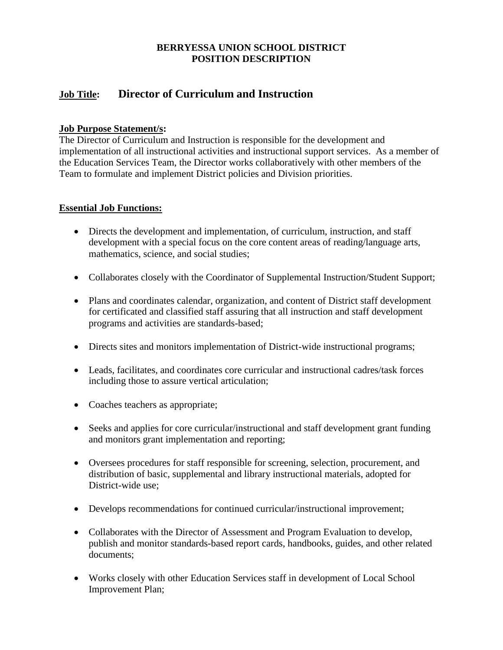### **BERRYESSA UNION SCHOOL DISTRICT POSITION DESCRIPTION**

# **Job Title: Director of Curriculum and Instruction**

#### **Job Purpose Statement/s:**

The Director of Curriculum and Instruction is responsible for the development and implementation of all instructional activities and instructional support services. As a member of the Education Services Team, the Director works collaboratively with other members of the Team to formulate and implement District policies and Division priorities.

#### **Essential Job Functions:**

- Directs the development and implementation, of curriculum, instruction, and staff development with a special focus on the core content areas of reading/language arts, mathematics, science, and social studies;
- Collaborates closely with the Coordinator of Supplemental Instruction/Student Support;
- Plans and coordinates calendar, organization, and content of District staff development for certificated and classified staff assuring that all instruction and staff development programs and activities are standards-based;
- Directs sites and monitors implementation of District-wide instructional programs;
- Leads, facilitates, and coordinates core curricular and instructional cadres/task forces including those to assure vertical articulation;
- Coaches teachers as appropriate;
- Seeks and applies for core curricular/instructional and staff development grant funding and monitors grant implementation and reporting;
- Oversees procedures for staff responsible for screening, selection, procurement, and distribution of basic, supplemental and library instructional materials, adopted for District-wide use;
- Develops recommendations for continued curricular/instructional improvement;
- Collaborates with the Director of Assessment and Program Evaluation to develop, publish and monitor standards-based report cards, handbooks, guides, and other related documents;
- Works closely with other Education Services staff in development of Local School Improvement Plan;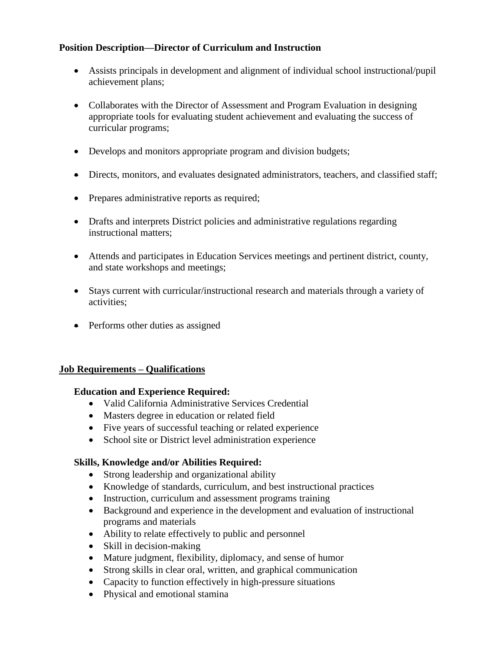### **Position Description—Director of Curriculum and Instruction**

- Assists principals in development and alignment of individual school instructional/pupil achievement plans;
- Collaborates with the Director of Assessment and Program Evaluation in designing appropriate tools for evaluating student achievement and evaluating the success of curricular programs;
- Develops and monitors appropriate program and division budgets;
- Directs, monitors, and evaluates designated administrators, teachers, and classified staff;
- Prepares administrative reports as required;
- Drafts and interprets District policies and administrative regulations regarding instructional matters;
- Attends and participates in Education Services meetings and pertinent district, county, and state workshops and meetings;
- Stays current with curricular/instructional research and materials through a variety of activities;
- Performs other duties as assigned

#### **Job Requirements – Qualifications**

#### **Education and Experience Required:**

- Valid California Administrative Services Credential
- Masters degree in education or related field
- Five years of successful teaching or related experience
- School site or District level administration experience

#### **Skills, Knowledge and/or Abilities Required:**

- Strong leadership and organizational ability
- Knowledge of standards, curriculum, and best instructional practices
- Instruction, curriculum and assessment programs training
- Background and experience in the development and evaluation of instructional programs and materials
- Ability to relate effectively to public and personnel
- Skill in decision-making
- Mature judgment, flexibility, diplomacy, and sense of humor
- Strong skills in clear oral, written, and graphical communication
- Capacity to function effectively in high-pressure situations
- Physical and emotional stamina